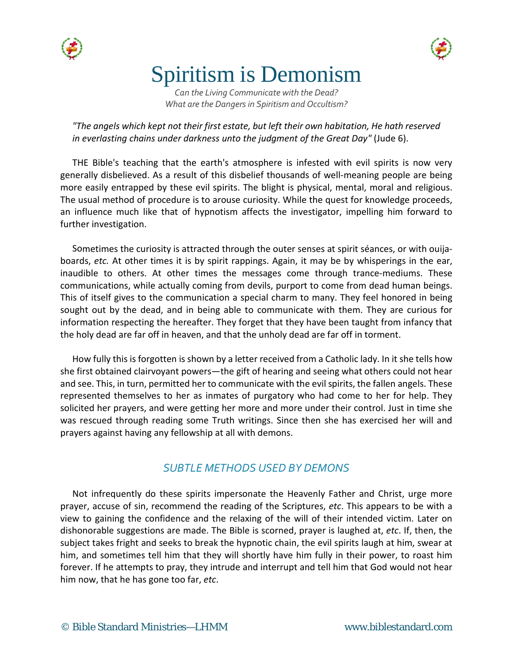



# Spiritism is Demonism

*Can the Living Communicate with the Dead? What are the Dangers in Spiritism and Occultism?*

*"The angels which kept not their first estate, but left their own habitation, He hath reserved in everlasting chains under darkness unto the judgment of the Great Day"* (Jude 6).

THE Bible's teaching that the earth's atmosphere is infested with evil spirits is now very generally disbelieved. As a result of this disbelief thousands of well-meaning people are being more easily entrapped by these evil spirits. The blight is physical, mental, moral and religious. The usual method of procedure is to arouse curiosity. While the quest for knowledge proceeds, an influence much like that of hypnotism affects the investigator, impelling him forward to further investigation.

Sometimes the curiosity is attracted through the outer senses at spirit séances, or with ouijaboards, *etc.* At other times it is by spirit rappings. Again, it may be by whisperings in the ear, inaudible to others. At other times the messages come through trance-mediums. These communications, while actually coming from devils, purport to come from dead human beings. This of itself gives to the communication a special charm to many. They feel honored in being sought out by the dead, and in being able to communicate with them. They are curious for information respecting the hereafter. They forget that they have been taught from infancy that the holy dead are far off in heaven, and that the unholy dead are far off in torment.

How fully this is forgotten is shown by a letter received from a Catholic lady. In it she tells how she first obtained clairvoyant powers—the gift of hearing and seeing what others could not hear and see. This, in turn, permitted her to communicate with the evil spirits, the fallen angels. These represented themselves to her as inmates of purgatory who had come to her for help. They solicited her prayers, and were getting her more and more under their control. Just in time she was rescued through reading some Truth writings. Since then she has exercised her will and prayers against having any fellowship at all with demons.

#### *SUBTLE METHODS USED BY DEMONS*

Not infrequently do these spirits impersonate the Heavenly Father and Christ, urge more prayer, accuse of sin, recommend the reading of the Scriptures, *etc*. This appears to be with a view to gaining the confidence and the relaxing of the will of their intended victim. Later on dishonorable suggestions are made. The Bible is scorned, prayer is laughed at, *etc*. If, then, the subject takes fright and seeks to break the hypnotic chain, the evil spirits laugh at him, swear at him, and sometimes tell him that they will shortly have him fully in their power, to roast him forever. If he attempts to pray, they intrude and interrupt and tell him that God would not hear him now, that he has gone too far, *etc*.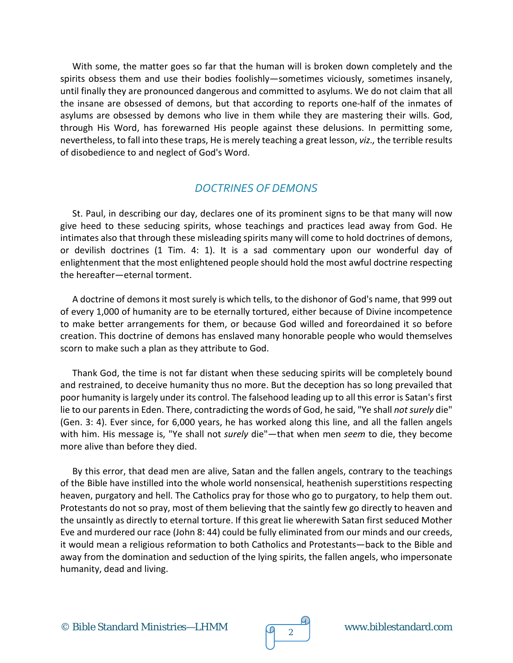With some, the matter goes so far that the human will is broken down completely and the spirits obsess them and use their bodies foolishly—sometimes viciously, sometimes insanely, until finally they are pronounced dangerous and committed to asylums. We do not claim that all the insane are obsessed of demons, but that according to reports one-half of the inmates of asylums are obsessed by demons who live in them while they are mastering their wills. God, through His Word, has forewarned His people against these delusions. In permitting some, nevertheless, to fall into these traps, He is merely teaching a great lesson, *viz.,* the terrible results of disobedience to and neglect of God's Word.

#### *DOCTRINES OF DEMONS*

St. Paul, in describing our day, declares one of its prominent signs to be that many will now give heed to these seducing spirits, whose teachings and practices lead away from God. He intimates also that through these misleading spirits many will come to hold doctrines of demons, or devilish doctrines (1 Tim. 4: 1). It is a sad commentary upon our wonderful day of enlightenment that the most enlightened people should hold the most awful doctrine respecting the hereafter—eternal torment.

A doctrine of demons it most surely is which tells, to the dishonor of God's name, that 999 out of every 1,000 of humanity are to be eternally tortured, either because of Divine incompetence to make better arrangements for them, or because God willed and foreordained it so before creation. This doctrine of demons has enslaved many honorable people who would themselves scorn to make such a plan as they attribute to God.

Thank God, the time is not far distant when these seducing spirits will be completely bound and restrained, to deceive humanity thus no more. But the deception has so long prevailed that poor humanity is largely under its control. The falsehood leading up to all this error is Satan's first lie to our parents in Eden. There, contradicting the words of God, he said, "Ye shall *not surely* die" (Gen. 3: 4). Ever since, for 6,000 years, he has worked along this line, and all the fallen angels with him. His message is, "Ye shall not *surely* die"—that when men *seem* to die, they become more alive than before they died.

By this error, that dead men are alive, Satan and the fallen angels, contrary to the teachings of the Bible have instilled into the whole world nonsensical, heathenish superstitions respecting heaven, purgatory and hell. The Catholics pray for those who go to purgatory, to help them out. Protestants do not so pray, most of them believing that the saintly few go directly to heaven and the unsaintly as directly to eternal torture. If this great lie wherewith Satan first seduced Mother Eve and murdered our race (John 8: 44) could be fully eliminated from our minds and our creeds, it would mean a religious reformation to both Catholics and Protestants—back to the Bible and away from the domination and seduction of the lying spirits, the fallen angels, who impersonate humanity, dead and living.

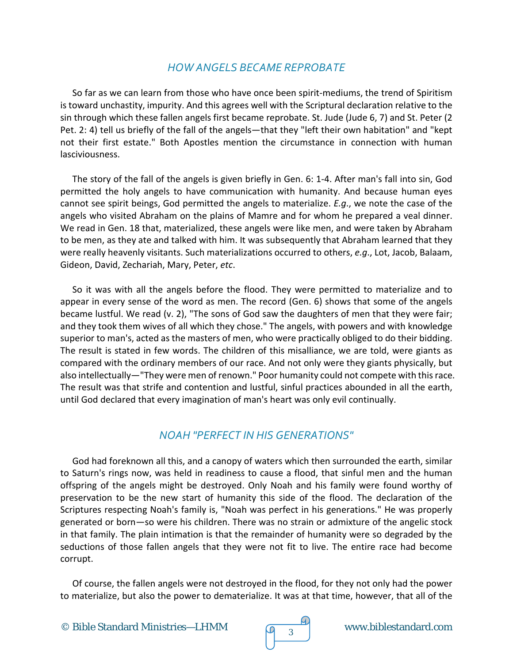## *HOW ANGELS BECAME REPROBATE*

So far as we can learn from those who have once been spirit-mediums, the trend of Spiritism is toward unchastity, impurity. And this agrees well with the Scriptural declaration relative to the sin through which these fallen angels first became reprobate. St. Jude (Jude 6, 7) and St. Peter (2 Pet. 2: 4) tell us briefly of the fall of the angels—that they "left their own habitation" and "kept not their first estate." Both Apostles mention the circumstance in connection with human lasciviousness.

The story of the fall of the angels is given briefly in Gen. 6: 1-4. After man's fall into sin, God permitted the holy angels to have communication with humanity. And because human eyes cannot see spirit beings, God permitted the angels to materialize. *E.g*., we note the case of the angels who visited Abraham on the plains of Mamre and for whom he prepared a veal dinner. We read in Gen. 18 that, materialized, these angels were like men, and were taken by Abraham to be men, as they ate and talked with him. It was subsequently that Abraham learned that they were really heavenly visitants. Such materializations occurred to others, *e.g*., Lot, Jacob, Balaam, Gideon, David, Zechariah, Mary, Peter, *etc*.

So it was with all the angels before the flood. They were permitted to materialize and to appear in every sense of the word as men. The record (Gen. 6) shows that some of the angels became lustful. We read (v. 2), "The sons of God saw the daughters of men that they were fair; and they took them wives of all which they chose." The angels, with powers and with knowledge superior to man's, acted as the masters of men, who were practically obliged to do their bidding. The result is stated in few words. The children of this misalliance, we are told, were giants as compared with the ordinary members of our race. And not only were they giants physically, but also intellectually—"They were men of renown." Poor humanity could not compete with this race. The result was that strife and contention and lustful, sinful practices abounded in all the earth, until God declared that every imagination of man's heart was only evil continually.

# *NOAH "PERFECT IN HIS GENERATIONS"*

God had foreknown all this, and a canopy of waters which then surrounded the earth, similar to Saturn's rings now, was held in readiness to cause a flood, that sinful men and the human offspring of the angels might be destroyed. Only Noah and his family were found worthy of preservation to be the new start of humanity this side of the flood. The declaration of the Scriptures respecting Noah's family is, "Noah was perfect in his generations." He was properly generated or born—so were his children. There was no strain or admixture of the angelic stock in that family. The plain intimation is that the remainder of humanity were so degraded by the seductions of those fallen angels that they were not fit to live. The entire race had become corrupt.

Of course, the fallen angels were not destroyed in the flood, for they not only had the power to materialize, but also the power to dematerialize. It was at that time, however, that all of the

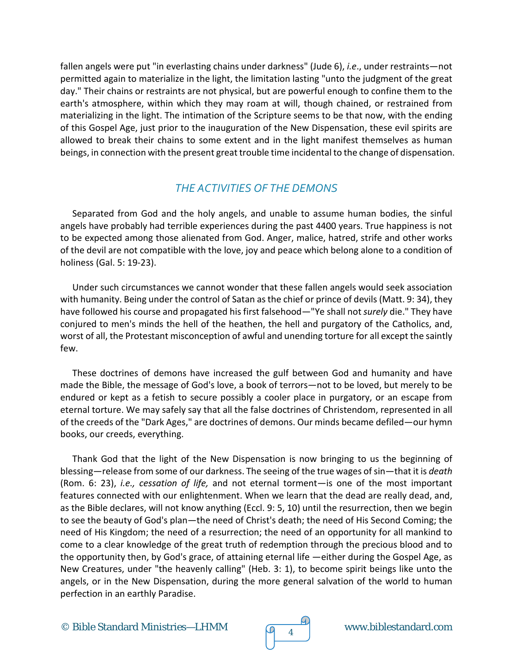fallen angels were put "in everlasting chains under darkness" (Jude 6), *i.e*., under restraints—not permitted again to materialize in the light, the limitation lasting "unto the judgment of the great day." Their chains or restraints are not physical, but are powerful enough to confine them to the earth's atmosphere, within which they may roam at will, though chained, or restrained from materializing in the light. The intimation of the Scripture seems to be that now, with the ending of this Gospel Age, just prior to the inauguration of the New Dispensation, these evil spirits are allowed to break their chains to some extent and in the light manifest themselves as human beings, in connection with the present great trouble time incidental to the change of dispensation.

# *THE ACTIVITIES OF THE DEMONS*

Separated from God and the holy angels, and unable to assume human bodies, the sinful angels have probably had terrible experiences during the past 4400 years. True happiness is not to be expected among those alienated from God. Anger, malice, hatred, strife and other works of the devil are not compatible with the love, joy and peace which belong alone to a condition of holiness (Gal. 5: 19-23).

Under such circumstances we cannot wonder that these fallen angels would seek association with humanity. Being under the control of Satan as the chief or prince of devils (Matt. 9: 34), they have followed his course and propagated his first falsehood—"Ye shall not *surely* die." They have conjured to men's minds the hell of the heathen, the hell and purgatory of the Catholics, and, worst of all, the Protestant misconception of awful and unending torture for all except the saintly few.

These doctrines of demons have increased the gulf between God and humanity and have made the Bible, the message of God's love, a book of terrors—not to be loved, but merely to be endured or kept as a fetish to secure possibly a cooler place in purgatory, or an escape from eternal torture. We may safely say that all the false doctrines of Christendom, represented in all of the creeds of the "Dark Ages," are doctrines of demons. Our minds became defiled—our hymn books, our creeds, everything.

Thank God that the light of the New Dispensation is now bringing to us the beginning of blessing—release from some of our darkness. The seeing of the true wages of sin—that it is *death* (Rom. 6: 23), *i.e., cessation of life,* and not eternal torment—is one of the most important features connected with our enlightenment. When we learn that the dead are really dead, and, as the Bible declares, will not know anything (Eccl. 9: 5, 10) until the resurrection, then we begin to see the beauty of God's plan—the need of Christ's death; the need of His Second Coming; the need of His Kingdom; the need of a resurrection; the need of an opportunity for all mankind to come to a clear knowledge of the great truth of redemption through the precious blood and to the opportunity then, by God's grace, of attaining eternal life —either during the Gospel Age, as New Creatures, under "the heavenly calling" (Heb. 3: 1), to become spirit beings like unto the angels, or in the New Dispensation, during the more general salvation of the world to human perfection in an earthly Paradise.

© Bible Standard Ministries—LHMM  $\sqrt{q}$  4 www.biblestandard.com

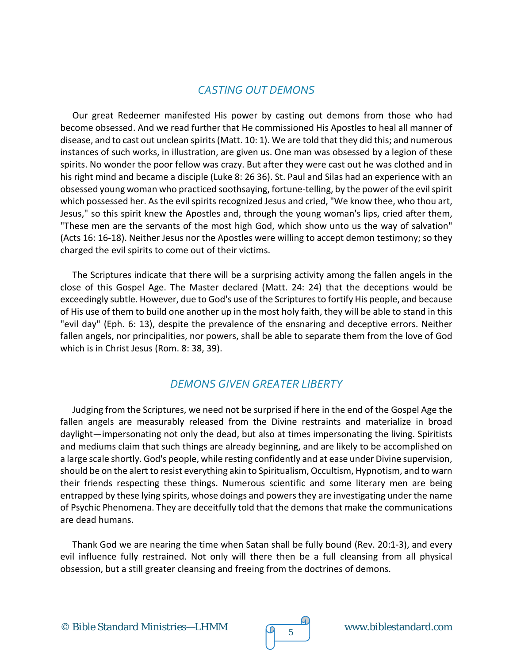# *CASTING OUT DEMONS*

Our great Redeemer manifested His power by casting out demons from those who had become obsessed. And we read further that He commissioned His Apostles to heal all manner of disease, and to cast out unclean spirits (Matt. 10: 1). We are told that they did this; and numerous instances of such works, in illustration, are given us. One man was obsessed by a legion of these spirits. No wonder the poor fellow was crazy. But after they were cast out he was clothed and in his right mind and became a disciple (Luke 8: 26 36). St. Paul and Silas had an experience with an obsessed young woman who practiced soothsaying, fortune-telling, by the power of the evil spirit which possessed her. As the evil spirits recognized Jesus and cried, "We know thee, who thou art, Jesus," so this spirit knew the Apostles and, through the young woman's lips, cried after them, "These men are the servants of the most high God, which show unto us the way of salvation" (Acts 16: 16-18). Neither Jesus nor the Apostles were willing to accept demon testimony; so they charged the evil spirits to come out of their victims.

The Scriptures indicate that there will be a surprising activity among the fallen angels in the close of this Gospel Age. The Master declared (Matt. 24: 24) that the deceptions would be exceedingly subtle. However, due to God's use of the Scriptures to fortify His people, and because of His use of them to build one another up in the most holy faith, they will be able to stand in this "evil day" (Eph. 6: 13), despite the prevalence of the ensnaring and deceptive errors. Neither fallen angels, nor principalities, nor powers, shall be able to separate them from the love of God which is in Christ Jesus (Rom. 8: 38, 39).

#### *DEMONS GIVEN GREATER LIBERTY*

Judging from the Scriptures, we need not be surprised if here in the end of the Gospel Age the fallen angels are measurably released from the Divine restraints and materialize in broad daylight—impersonating not only the dead, but also at times impersonating the living. Spiritists and mediums claim that such things are already beginning, and are likely to be accomplished on a large scale shortly. God's people, while resting confidently and at ease under Divine supervision, should be on the alert to resist everything akin to Spiritualism, Occultism, Hypnotism, and to warn their friends respecting these things. Numerous scientific and some literary men are being entrapped by these lying spirits, whose doings and powers they are investigating under the name of Psychic Phenomena. They are deceitfully told that the demons that make the communications are dead humans.

Thank God we are nearing the time when Satan shall be fully bound (Rev. 20:1-3), and every evil influence fully restrained. Not only will there then be a full cleansing from all physical obsession, but a still greater cleansing and freeing from the doctrines of demons.

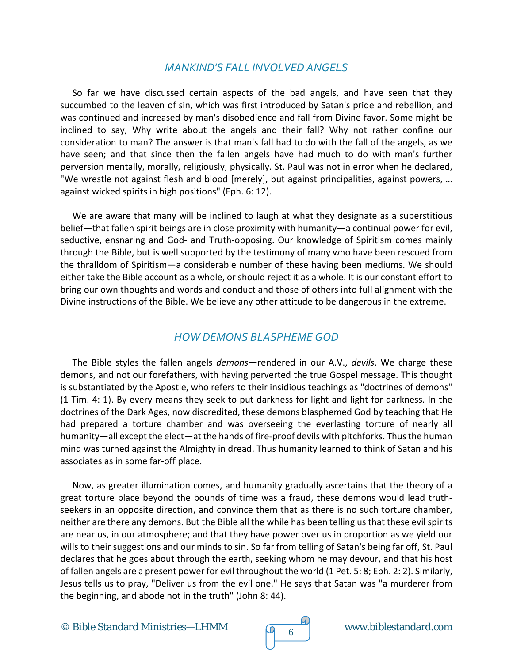#### *MANKIND'S FALL INVOLVED ANGELS*

So far we have discussed certain aspects of the bad angels, and have seen that they succumbed to the leaven of sin, which was first introduced by Satan's pride and rebellion, and was continued and increased by man's disobedience and fall from Divine favor. Some might be inclined to say, Why write about the angels and their fall? Why not rather confine our consideration to man? The answer is that man's fall had to do with the fall of the angels, as we have seen; and that since then the fallen angels have had much to do with man's further perversion mentally, morally, religiously, physically. St. Paul was not in error when he declared, "We wrestle not against flesh and blood [merely], but against principalities, against powers, … against wicked spirits in high positions" (Eph. 6: 12).

We are aware that many will be inclined to laugh at what they designate as a superstitious belief—that fallen spirit beings are in close proximity with humanity—a continual power for evil, seductive, ensnaring and God- and Truth-opposing. Our knowledge of Spiritism comes mainly through the Bible, but is well supported by the testimony of many who have been rescued from the thralldom of Spiritism—a considerable number of these having been mediums. We should either take the Bible account as a whole, or should reject it as a whole. It is our constant effort to bring our own thoughts and words and conduct and those of others into full alignment with the Divine instructions of the Bible. We believe any other attitude to be dangerous in the extreme.

## *HOW DEMONS BLASPHEME GOD*

The Bible styles the fallen angels *demons*—rendered in our A.V., *devils*. We charge these demons, and not our forefathers, with having perverted the true Gospel message. This thought is substantiated by the Apostle, who refers to their insidious teachings as "doctrines of demons" (1 Tim. 4: 1). By every means they seek to put darkness for light and light for darkness. In the doctrines of the Dark Ages, now discredited, these demons blasphemed God by teaching that He had prepared a torture chamber and was overseeing the everlasting torture of nearly all humanity—all except the elect—at the hands of fire-proof devils with pitchforks. Thus the human mind was turned against the Almighty in dread. Thus humanity learned to think of Satan and his associates as in some far-off place.

Now, as greater illumination comes, and humanity gradually ascertains that the theory of a great torture place beyond the bounds of time was a fraud, these demons would lead truthseekers in an opposite direction, and convince them that as there is no such torture chamber, neither are there any demons. But the Bible all the while has been telling us that these evil spirits are near us, in our atmosphere; and that they have power over us in proportion as we yield our wills to their suggestions and our minds to sin. So far from telling of Satan's being far off, St. Paul declares that he goes about through the earth, seeking whom he may devour, and that his host of fallen angels are a present power for evil throughout the world (1 Pet. 5: 8; Eph. 2: 2). Similarly, Jesus tells us to pray, "Deliver us from the evil one." He says that Satan was "a murderer from the beginning, and abode not in the truth" (John 8: 44).

© Bible Standard Ministries—LHMM  $\sqrt{9}$  6



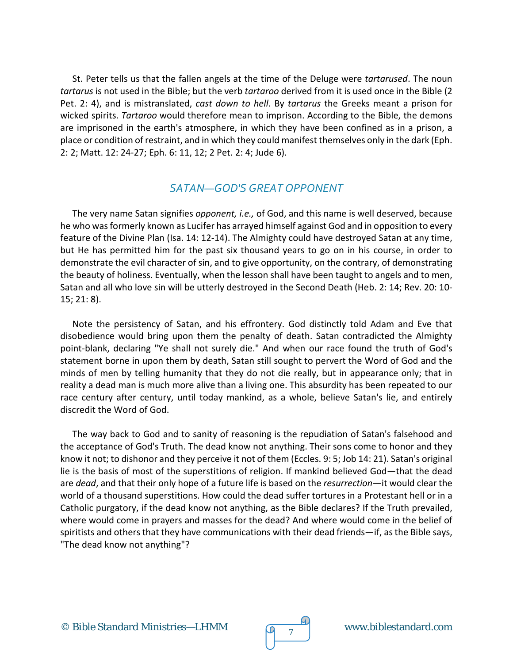St. Peter tells us that the fallen angels at the time of the Deluge were *tartarused*. The noun *tartarus* is not used in the Bible; but the verb *tartaroo* derived from it is used once in the Bible (2 Pet. 2: 4), and is mistranslated, *cast down to hell*. By *tartarus* the Greeks meant a prison for wicked spirits. *Tartaroo* would therefore mean to imprison. According to the Bible, the demons are imprisoned in the earth's atmosphere, in which they have been confined as in a prison, a place or condition of restraint, and in which they could manifest themselves only in the dark (Eph. 2: 2; Matt. 12: 24-27; Eph. 6: 11, 12; 2 Pet. 2: 4; Jude 6).

## *SATAN—GOD'S GREAT OPPONENT*

The very name Satan signifies *opponent, i.e.,* of God, and this name is well deserved, because he who was formerly known as Lucifer has arrayed himself against God and in opposition to every feature of the Divine Plan (Isa. 14: 12-14). The Almighty could have destroyed Satan at any time, but He has permitted him for the past six thousand years to go on in his course, in order to demonstrate the evil character of sin, and to give opportunity, on the contrary, of demonstrating the beauty of holiness. Eventually, when the lesson shall have been taught to angels and to men, Satan and all who love sin will be utterly destroyed in the Second Death (Heb. 2: 14; Rev. 20: 10- 15; 21: 8).

Note the persistency of Satan, and his effrontery. God distinctly told Adam and Eve that disobedience would bring upon them the penalty of death. Satan contradicted the Almighty point-blank, declaring "Ye shall not surely die." And when our race found the truth of God's statement borne in upon them by death, Satan still sought to pervert the Word of God and the minds of men by telling humanity that they do not die really, but in appearance only; that in reality a dead man is much more alive than a living one. This absurdity has been repeated to our race century after century, until today mankind, as a whole, believe Satan's lie, and entirely discredit the Word of God.

The way back to God and to sanity of reasoning is the repudiation of Satan's falsehood and the acceptance of God's Truth. The dead know not anything. Their sons come to honor and they know it not; to dishonor and they perceive it not of them (Eccles. 9: 5; Job 14: 21). Satan's original lie is the basis of most of the superstitions of religion. If mankind believed God—that the dead are *dead*, and that their only hope of a future life is based on the *resurrection*—it would clear the world of a thousand superstitions. How could the dead suffer tortures in a Protestant hell or in a Catholic purgatory, if the dead know not anything, as the Bible declares? If the Truth prevailed, where would come in prayers and masses for the dead? And where would come in the belief of spiritists and others that they have communications with their dead friends—if, as the Bible says, "The dead know not anything"?

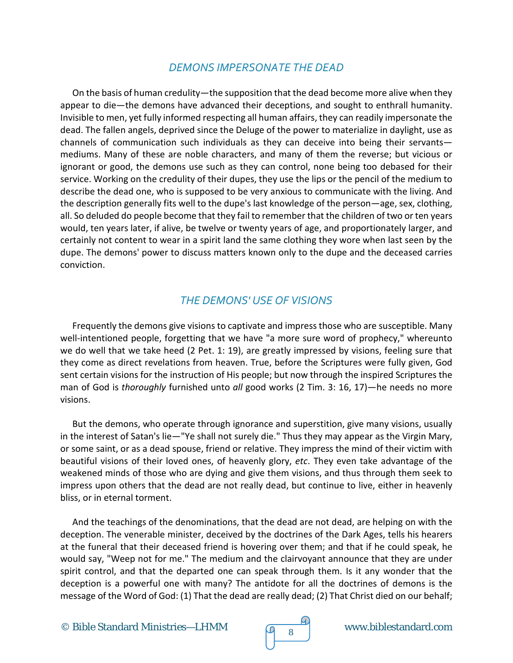## *DEMONS IMPERSONATE THE DEAD*

On the basis of human credulity—the supposition that the dead become more alive when they appear to die—the demons have advanced their deceptions, and sought to enthrall humanity. Invisible to men, yet fully informed respecting all human affairs, they can readily impersonate the dead. The fallen angels, deprived since the Deluge of the power to materialize in daylight, use as channels of communication such individuals as they can deceive into being their servants mediums. Many of these are noble characters, and many of them the reverse; but vicious or ignorant or good, the demons use such as they can control, none being too debased for their service. Working on the credulity of their dupes, they use the lips or the pencil of the medium to describe the dead one, who is supposed to be very anxious to communicate with the living. And the description generally fits well to the dupe's last knowledge of the person*—*age, sex, clothing, all. So deluded do people become that they fail to remember that the children of two or ten years would, ten years later, if alive, be twelve or twenty years of age, and proportionately larger, and certainly not content to wear in a spirit land the same clothing they wore when last seen by the dupe. The demons' power to discuss matters known only to the dupe and the deceased carries conviction.

# *THE DEMONS' USE OF VISIONS*

Frequently the demons give visions to captivate and impress those who are susceptible. Many well-intentioned people, forgetting that we have "a more sure word of prophecy," whereunto we do well that we take heed (2 Pet. 1: 19), are greatly impressed by visions, feeling sure that they come as direct revelations from heaven. True, before the Scriptures were fully given, God sent certain visions for the instruction of His people; but now through the inspired Scriptures the man of God is *thoroughly* furnished unto *all* good works (2 Tim. 3: 16, 17)—he needs no more visions.

But the demons, who operate through ignorance and superstition, give many visions, usually in the interest of Satan's lie—"Ye shall not surely die." Thus they may appear as the Virgin Mary, or some saint, or as a dead spouse, friend or relative. They impress the mind of their victim with beautiful visions of their loved ones, of heavenly glory, *etc*. They even take advantage of the weakened minds of those who are dying and give them visions, and thus through them seek to impress upon others that the dead are not really dead, but continue to live, either in heavenly bliss, or in eternal torment.

And the teachings of the denominations, that the dead are not dead, are helping on with the deception. The venerable minister, deceived by the doctrines of the Dark Ages, tells his hearers at the funeral that their deceased friend is hovering over them; and that if he could speak, he would say, "Weep not for me." The medium and the clairvoyant announce that they are under spirit control, and that the departed one can speak through them. Is it any wonder that the deception is a powerful one with many? The antidote for all the doctrines of demons is the message of the Word of God: (1) That the dead are really dead; (2) That Christ died on our behalf;

© Bible Standard Ministries—LHMM  $\sqrt{9}8$  www.biblestandard.com

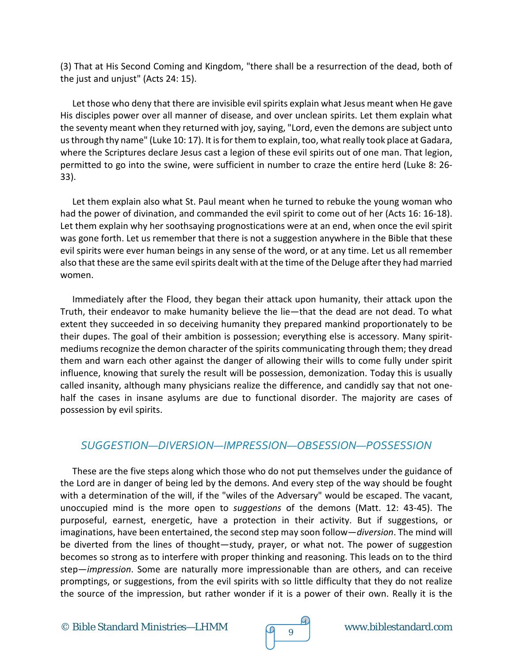(3) That at His Second Coming and Kingdom, "there shall be a resurrection of the dead, both of the just and unjust" (Acts 24: 15).

Let those who deny that there are invisible evil spirits explain what Jesus meant when He gave His disciples power over all manner of disease, and over unclean spirits. Let them explain what the seventy meant when they returned with joy, saying, "Lord, even the demons are subject unto us through thy name" (Luke 10: 17). It is for them to explain, too, what really took place at Gadara, where the Scriptures declare Jesus cast a legion of these evil spirits out of one man. That legion, permitted to go into the swine, were sufficient in number to craze the entire herd (Luke 8: 26- 33).

Let them explain also what St. Paul meant when he turned to rebuke the young woman who had the power of divination, and commanded the evil spirit to come out of her (Acts 16: 16-18). Let them explain why her soothsaying prognostications were at an end, when once the evil spirit was gone forth. Let us remember that there is not a suggestion anywhere in the Bible that these evil spirits were ever human beings in any sense of the word, or at any time. Let us all remember also that these are the same evil spirits dealt with at the time of the Deluge after they had married women.

Immediately after the Flood, they began their attack upon humanity, their attack upon the Truth, their endeavor to make humanity believe the lie—that the dead are not dead. To what extent they succeeded in so deceiving humanity they prepared mankind proportionately to be their dupes. The goal of their ambition is possession; everything else is accessory. Many spiritmediums recognize the demon character of the spirits communicating through them; they dread them and warn each other against the danger of allowing their wills to come fully under spirit influence, knowing that surely the result will be possession, demonization. Today this is usually called insanity, although many physicians realize the difference, and candidly say that not onehalf the cases in insane asylums are due to functional disorder. The majority are cases of possession by evil spirits.

# *SUGGESTION—DIVERSION—IMPRESSION—OBSESSION—POSSESSION*

These are the five steps along which those who do not put themselves under the guidance of the Lord are in danger of being led by the demons. And every step of the way should be fought with a determination of the will, if the "wiles of the Adversary" would be escaped. The vacant, unoccupied mind is the more open to *suggestions* of the demons (Matt. 12: 43-45). The purposeful, earnest, energetic, have a protection in their activity. But if suggestions, or imaginations, have been entertained, the second step may soon follow—*diversion*. The mind will be diverted from the lines of thought—study, prayer, or what not. The power of suggestion becomes so strong as to interfere with proper thinking and reasoning. This leads on to the third step—*impression*. Some are naturally more impressionable than are others, and can receive promptings, or suggestions, from the evil spirits with so little difficulty that they do not realize the source of the impression, but rather wonder if it is a power of their own. Really it is the

© Bible Standard Ministries—LHMM  $\sqrt{q}$   $\frac{q}{9}$  www.biblestandard.com

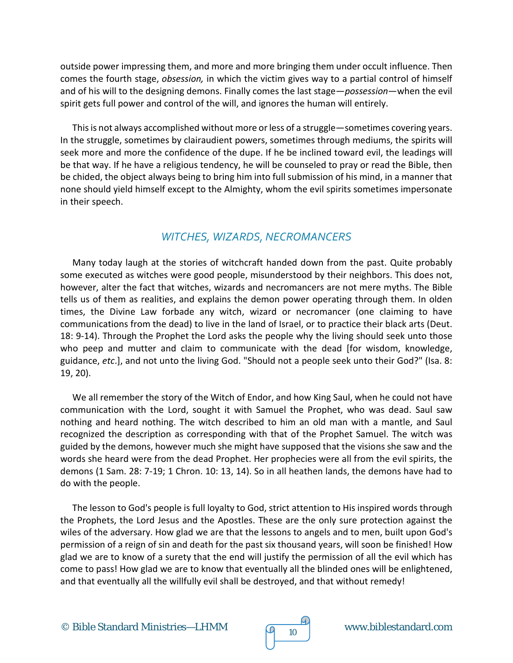outside power impressing them, and more and more bringing them under occult influence. Then comes the fourth stage, *obsession,* in which the victim gives way to a partial control of himself and of his will to the designing demons. Finally comes the last stage—*possession*—when the evil spirit gets full power and control of the will, and ignores the human will entirely.

This is not always accomplished without more or less of a struggle—sometimes covering years. In the struggle, sometimes by clairaudient powers, sometimes through mediums, the spirits will seek more and more the confidence of the dupe. If he be inclined toward evil, the leadings will be that way. If he have a religious tendency, he will be counseled to pray or read the Bible, then be chided, the object always being to bring him into full submission of his mind, in a manner that none should yield himself except to the Almighty, whom the evil spirits sometimes impersonate in their speech.

## *WITCHES, WIZARDS, NECROMANCERS*

Many today laugh at the stories of witchcraft handed down from the past. Quite probably some executed as witches were good people, misunderstood by their neighbors. This does not, however, alter the fact that witches, wizards and necromancers are not mere myths. The Bible tells us of them as realities, and explains the demon power operating through them. In olden times, the Divine Law forbade any witch, wizard or necromancer (one claiming to have communications from the dead) to live in the land of Israel, or to practice their black arts (Deut. 18: 9-14). Through the Prophet the Lord asks the people why the living should seek unto those who peep and mutter and claim to communicate with the dead [for wisdom, knowledge, guidance, *etc*.], and not unto the living God. "Should not a people seek unto their God?" (Isa. 8: 19, 20).

We all remember the story of the Witch of Endor, and how King Saul, when he could not have communication with the Lord, sought it with Samuel the Prophet, who was dead. Saul saw nothing and heard nothing. The witch described to him an old man with a mantle, and Saul recognized the description as corresponding with that of the Prophet Samuel. The witch was guided by the demons, however much she might have supposed that the visions she saw and the words she heard were from the dead Prophet. Her prophecies were all from the evil spirits, the demons (1 Sam. 28: 7-19; 1 Chron. 10: 13, 14). So in all heathen lands, the demons have had to do with the people.

The lesson to God's people is full loyalty to God, strict attention to His inspired words through the Prophets, the Lord Jesus and the Apostles. These are the only sure protection against the wiles of the adversary. How glad we are that the lessons to angels and to men, built upon God's permission of a reign of sin and death for the past six thousand years, will soon be finished! How glad we are to know of a surety that the end will justify the permission of all the evil which has come to pass! How glad we are to know that eventually all the blinded ones will be enlightened, and that eventually all the willfully evil shall be destroyed, and that without remedy!



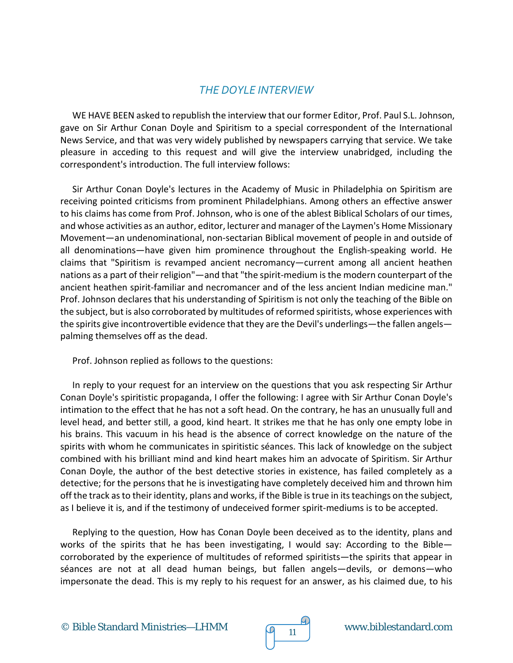## *THE DOYLE INTERVIEW*

WE HAVE BEEN asked to republish the interview that our former Editor, Prof. Paul S.L. Johnson, gave on Sir Arthur Conan Doyle and Spiritism to a special correspondent of the International News Service, and that was very widely published by newspapers carrying that service. We take pleasure in acceding to this request and will give the interview unabridged, including the correspondent's introduction. The full interview follows:

Sir Arthur Conan Doyle's lectures in the Academy of Music in Philadelphia on Spiritism are receiving pointed criticisms from prominent Philadelphians. Among others an effective answer to his claims has come from Prof. Johnson, who is one of the ablest Biblical Scholars of our times, and whose activities as an author, editor, lecturer and manager of the Laymen's Home Missionary Movement—an undenominational, non-sectarian Biblical movement of people in and outside of all denominations—have given him prominence throughout the English-speaking world. He claims that "Spiritism is revamped ancient necromancy—current among all ancient heathen nations as a part of their religion"—and that "the spirit-medium is the modern counterpart of the ancient heathen spirit-familiar and necromancer and of the less ancient Indian medicine man." Prof. Johnson declares that his understanding of Spiritism is not only the teaching of the Bible on the subject, but is also corroborated by multitudes of reformed spiritists, whose experiences with the spirits give incontrovertible evidence that they are the Devil's underlings—the fallen angels palming themselves off as the dead.

Prof. Johnson replied as follows to the questions:

In reply to your request for an interview on the questions that you ask respecting Sir Arthur Conan Doyle's spiritistic propaganda, I offer the following: I agree with Sir Arthur Conan Doyle's intimation to the effect that he has not a soft head. On the contrary, he has an unusually full and level head, and better still, a good, kind heart. It strikes me that he has only one empty lobe in his brains. This vacuum in his head is the absence of correct knowledge on the nature of the spirits with whom he communicates in spiritistic séances. This lack of knowledge on the subject combined with his brilliant mind and kind heart makes him an advocate of Spiritism. Sir Arthur Conan Doyle, the author of the best detective stories in existence, has failed completely as a detective; for the persons that he is investigating have completely deceived him and thrown him off the track as to their identity, plans and works, if the Bible is true in its teachings on the subject, as I believe it is, and if the testimony of undeceived former spirit-mediums is to be accepted.

Replying to the question, How has Conan Doyle been deceived as to the identity, plans and works of the spirits that he has been investigating, I would say: According to the Bible corroborated by the experience of multitudes of reformed spiritists—the spirits that appear in séances are not at all dead human beings, but fallen angels—devils, or demons—who impersonate the dead. This is my reply to his request for an answer, as his claimed due, to his

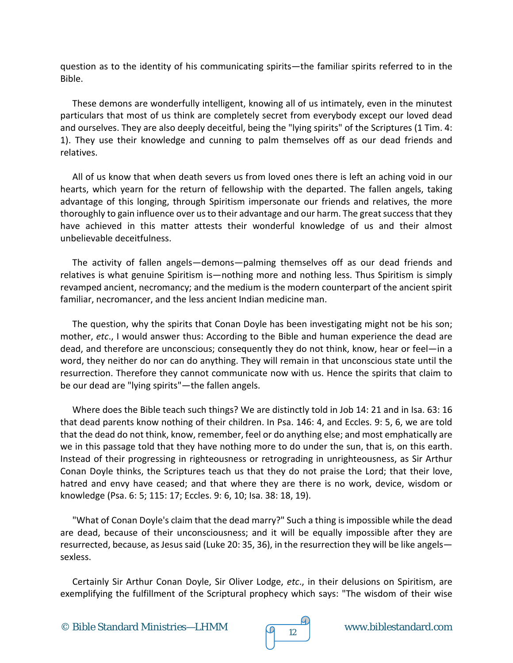question as to the identity of his communicating spirits—the familiar spirits referred to in the Bible.

These demons are wonderfully intelligent, knowing all of us intimately, even in the minutest particulars that most of us think are completely secret from everybody except our loved dead and ourselves. They are also deeply deceitful, being the "lying spirits" of the Scriptures (1 Tim. 4: 1). They use their knowledge and cunning to palm themselves off as our dead friends and relatives.

All of us know that when death severs us from loved ones there is left an aching void in our hearts, which yearn for the return of fellowship with the departed. The fallen angels, taking advantage of this longing, through Spiritism impersonate our friends and relatives, the more thoroughly to gain influence over us to their advantage and our harm. The great success that they have achieved in this matter attests their wonderful knowledge of us and their almost unbelievable deceitfulness.

The activity of fallen angels—demons—palming themselves off as our dead friends and relatives is what genuine Spiritism is—nothing more and nothing less. Thus Spiritism is simply revamped ancient, necromancy; and the medium is the modern counterpart of the ancient spirit familiar, necromancer, and the less ancient Indian medicine man.

The question, why the spirits that Conan Doyle has been investigating might not be his son; mother, *etc*., I would answer thus: According to the Bible and human experience the dead are dead, and therefore are unconscious; consequently they do not think, know, hear or feel—in a word, they neither do nor can do anything. They will remain in that unconscious state until the resurrection. Therefore they cannot communicate now with us. Hence the spirits that claim to be our dead are "lying spirits"—the fallen angels.

Where does the Bible teach such things? We are distinctly told in Job 14: 21 and in Isa. 63: 16 that dead parents know nothing of their children. In Psa. 146: 4, and Eccles. 9: 5, 6, we are told that the dead do not think, know, remember, feel or do anything else; and most emphatically are we in this passage told that they have nothing more to do under the sun, that is, on this earth. Instead of their progressing in righteousness or retrograding in unrighteousness, as Sir Arthur Conan Doyle thinks, the Scriptures teach us that they do not praise the Lord; that their love, hatred and envy have ceased; and that where they are there is no work, device, wisdom or knowledge (Psa. 6: 5; 115: 17; Eccles. 9: 6, 10; Isa. 38: 18, 19).

"What of Conan Doyle's claim that the dead marry?" Such a thing is impossible while the dead are dead, because of their unconsciousness; and it will be equally impossible after they are resurrected, because, as Jesus said (Luke 20: 35, 36), in the resurrection they will be like angels sexless.

Certainly Sir Arthur Conan Doyle, Sir Oliver Lodge, *etc*., in their delusions on Spiritism, are exemplifying the fulfillment of the Scriptural prophecy which says: "The wisdom of their wise